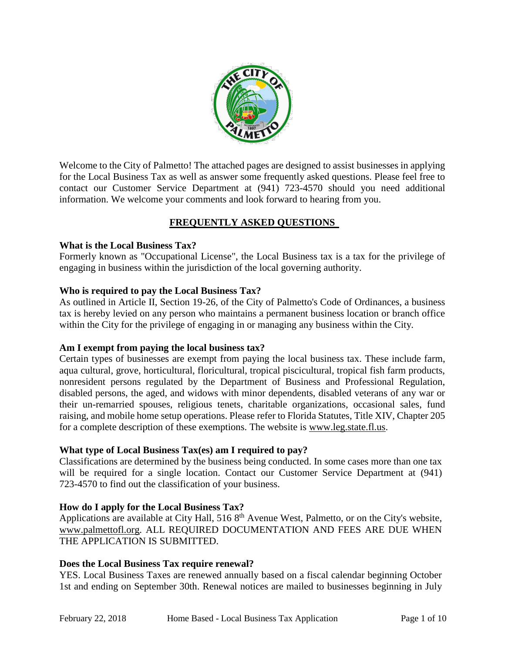

Welcome to the City of Palmetto! The attached pages are designed to assist businesses in applying for the Local Business Tax as well as answer some frequently asked questions. Please feel free to contact our Customer Service Department at (941) 723-4570 should you need additional information. We welcome your comments and look forward to hearing from you.

## **FREQUENTLY ASKED QUESTIONS**

#### **What is the Local Business Tax?**

Formerly known as "Occupational License", the Local Business tax is a tax for the privilege of engaging in business within the jurisdiction of the local governing authority.

#### **Who is required to pay the Local Business Tax?**

As outlined in Article II, Section 19-26, of the City of Palmetto's Code of Ordinances, a business tax is hereby levied on any person who maintains a permanent business location or branch office within the City for the privilege of engaging in or managing any business within the City.

#### **Am I exempt from paying the local business tax?**

Certain types of businesses are exempt from paying the local business tax. These include farm, aqua cultural, grove, horticultural, floricultural, tropical piscicultural, tropical fish farm products, nonresident persons regulated by the Department of Business and Professional Regulation, disabled persons, the aged, and widows with minor dependents, disabled veterans of any war or their un-remarried spouses, religious tenets, charitable organizations, occasional sales, fund raising, and mobile home setup operations. Please refer to Florida Statutes, Title XIV, Chapter 205 for a complete description of these exemptions. The website is [www.leg.state.fl.us.](http://www.leg.state.fl.us/)

### **What type of Local Business Tax(es) am I required to pay?**

Classifications are determined by the business being conducted. In some cases more than one tax will be required for a single location. Contact our Customer Service Department at  $(941)$ 723-4570 to find out the classification of your business.

### **How do I apply for the Local Business Tax?**

Applications are available at City Hall, 516 8<sup>th</sup> Avenue West, Palmetto, or on the City's website, [www.palmettofl.org.](http://www.palmettofl.org/) ALL REQUIRED DOCUMENTATION AND FEES ARE DUE WHEN THE APPLICATION IS SUBMITTED.

#### **Does the Local Business Tax require renewal?**

YES. Local Business Taxes are renewed annually based on a fiscal calendar beginning October 1st and ending on September 30th. Renewal notices are mailed to businesses beginning in July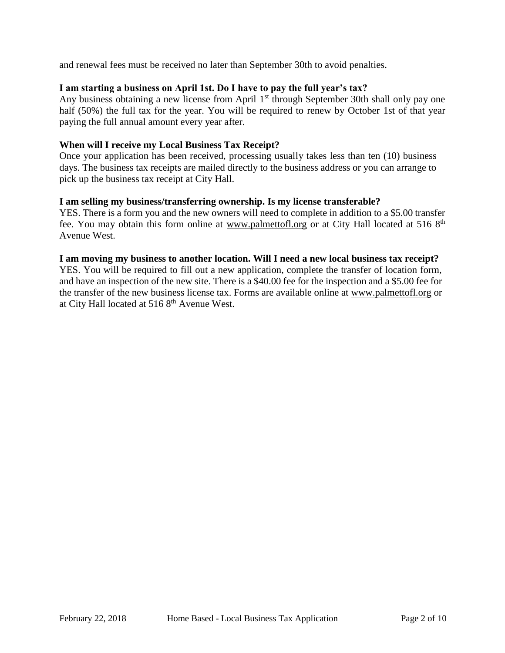and renewal fees must be received no later than September 30th to avoid penalties.

#### **I am starting a business on April 1st. Do I have to pay the full year's tax?**

Any business obtaining a new license from April 1<sup>st</sup> through September 30th shall only pay one half (50%) the full tax for the year. You will be required to renew by October 1st of that year paying the full annual amount every year after.

#### **When will I receive my Local Business Tax Receipt?**

Once your application has been received, processing usually takes less than ten (10) business days. The business tax receipts are mailed directly to the business address or you can arrange to pick up the business tax receipt at City Hall.

#### **I am selling my business/transferring ownership. Is my license transferable?**

YES. There is a form you and the new owners will need to complete in addition to a \$5.00 transfer fee. You may obtain this form online at [www.palmettofl.org](http://www.palmettofl.org/) or at City Hall located at 516 8<sup>th</sup> Avenue West.

#### **I am moving my business to another location. Will I need a new local business tax receipt?**

YES. You will be required to fill out a new application, complete the transfer of location form, and have an inspection of the new site. There is a \$40.00 fee for the inspection and a \$5.00 fee for the transfer of the new business license tax. Forms are available online at [www.palmettofl.org](http://www.palmettofl.org/) or at City Hall located at  $5168^{\text{th}}$  Avenue West.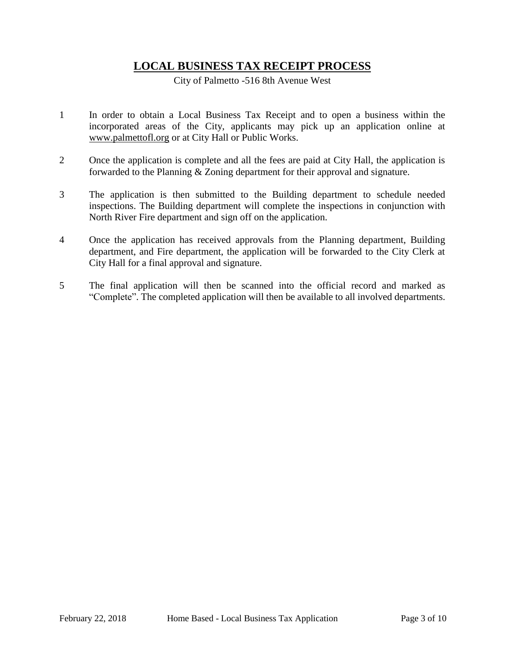## **LOCAL BUSINESS TAX RECEIPT PROCESS**

City of Palmetto -516 8th Avenue West

- 1 In order to obtain a Local Business Tax Receipt and to open a business within the incorporated areas of the City, applicants may pick up an application online at [www.palmettofl.org](http://www.palmettofl.org/) or at City Hall or Public Works.
- 2 Once the application is complete and all the fees are paid at City Hall, the application is forwarded to the Planning & Zoning department for their approval and signature.
- 3 The application is then submitted to the Building department to schedule needed inspections. The Building department will complete the inspections in conjunction with North River Fire department and sign off on the application.
- 4 Once the application has received approvals from the Planning department, Building department, and Fire department, the application will be forwarded to the City Clerk at City Hall for a final approval and signature.
- 5 The final application will then be scanned into the official record and marked as "Complete". The completed application will then be available to all involved departments.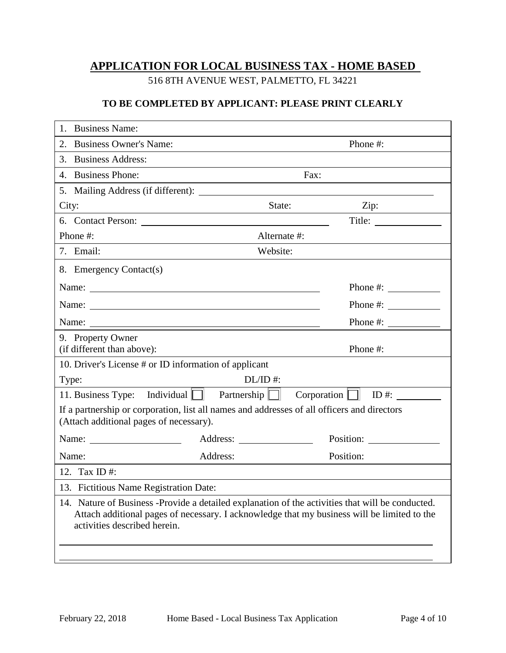# **APPLICATION FOR LOCAL BUSINESS TAX - HOME BASED**

516 8TH AVENUE WEST, PALMETTO, FL 34221

### **TO BE COMPLETED BY APPLICANT: PLEASE PRINT CLEARLY**

| <b>Business Name:</b><br>1.                                                                                                                                                                                                     |              |                                                                                                       |
|---------------------------------------------------------------------------------------------------------------------------------------------------------------------------------------------------------------------------------|--------------|-------------------------------------------------------------------------------------------------------|
| 2. Business Owner's Name:                                                                                                                                                                                                       |              | Phone #:                                                                                              |
| 3. Business Address:                                                                                                                                                                                                            |              |                                                                                                       |
| 4. Business Phone:                                                                                                                                                                                                              | Fax:         |                                                                                                       |
|                                                                                                                                                                                                                                 |              |                                                                                                       |
| City:<br><u> 1989 - Johann Barnett, fransk politik (d. 1989)</u>                                                                                                                                                                | State:       | Zip: $\qquad \qquad \qquad$                                                                           |
|                                                                                                                                                                                                                                 |              | Title:                                                                                                |
| Phone #:                                                                                                                                                                                                                        | Alternate #: |                                                                                                       |
| 7. Email:                                                                                                                                                                                                                       | Website:     |                                                                                                       |
| 8. Emergency Contact(s)                                                                                                                                                                                                         |              |                                                                                                       |
| Name:                                                                                                                                                                                                                           |              | Phone #: $\frac{1}{\sqrt{1-\frac{1}{2}} \cdot \frac{1}{2}}$                                           |
| Name:                                                                                                                                                                                                                           |              | Phone #: $\sqrt{\frac{2}{1-\frac{1}{2}} \cdot \frac{1}{2-\frac{1}{2}} \cdot \frac{1}{2-\frac{1}{2}}}$ |
| Name: Name and the set of the set of the set of the set of the set of the set of the set of the set of the set of the set of the set of the set of the set of the set of the set of the set of the set of the set of the set o  |              | Phone #: $\frac{1}{2}$                                                                                |
| 9. Property Owner                                                                                                                                                                                                               |              |                                                                                                       |
| (if different than above):                                                                                                                                                                                                      |              | Phone #:                                                                                              |
| 10. Driver's License # or ID information of applicant                                                                                                                                                                           |              |                                                                                                       |
| Type:                                                                                                                                                                                                                           | $DL/ID$ #:   |                                                                                                       |
| 11. Business Type: Individual $\Box$ Partnership $\Box$                                                                                                                                                                         |              | $Corporation$ $\Box$ ID #:                                                                            |
| If a partnership or corporation, list all names and addresses of all officers and directors<br>(Attach additional pages of necessary).                                                                                          |              |                                                                                                       |
| Name: $\frac{1}{\sqrt{1-\frac{1}{2}} \cdot \frac{1}{2}}$                                                                                                                                                                        | Address:     | Position:                                                                                             |
| Name:                                                                                                                                                                                                                           | Address:     | Position:                                                                                             |
| 12. Tax ID#:                                                                                                                                                                                                                    |              |                                                                                                       |
| 13. Fictitious Name Registration Date:                                                                                                                                                                                          |              |                                                                                                       |
| 14. Nature of Business -Provide a detailed explanation of the activities that will be conducted.<br>Attach additional pages of necessary. I acknowledge that my business will be limited to the<br>activities described herein. |              |                                                                                                       |
|                                                                                                                                                                                                                                 |              |                                                                                                       |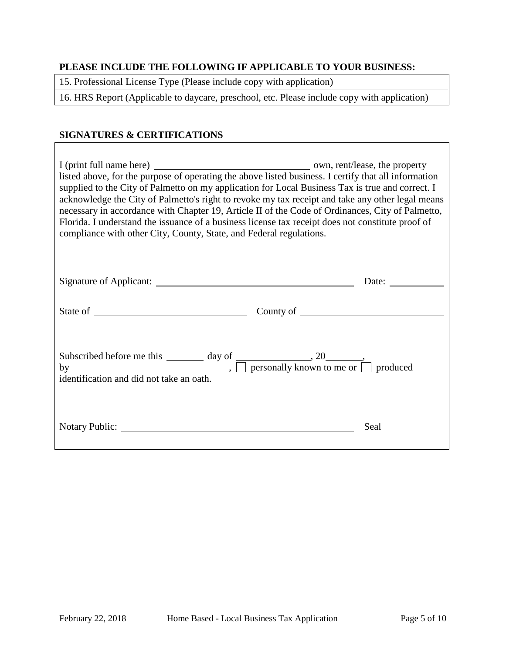### **PLEASE INCLUDE THE FOLLOWING IF APPLICABLE TO YOUR BUSINESS:**

15. Professional License Type (Please include copy with application)

16. HRS Report (Applicable to daycare, preschool, etc. Please include copy with application)

## **SIGNATURES & CERTIFICATIONS**

| listed above, for the purpose of operating the above listed business. I certify that all information<br>supplied to the City of Palmetto on my application for Local Business Tax is true and correct. I<br>acknowledge the City of Palmetto's right to revoke my tax receipt and take any other legal means<br>necessary in accordance with Chapter 19, Article II of the Code of Ordinances, City of Palmetto,<br>Florida. I understand the issuance of a business license tax receipt does not constitute proof of<br>compliance with other City, County, State, and Federal regulations. |      |
|----------------------------------------------------------------------------------------------------------------------------------------------------------------------------------------------------------------------------------------------------------------------------------------------------------------------------------------------------------------------------------------------------------------------------------------------------------------------------------------------------------------------------------------------------------------------------------------------|------|
|                                                                                                                                                                                                                                                                                                                                                                                                                                                                                                                                                                                              |      |
|                                                                                                                                                                                                                                                                                                                                                                                                                                                                                                                                                                                              |      |
| Subscribed before me this $\frac{day \text{ of}}{my}$ and $\frac{day}{my}$ and $\frac{dy}{my}$ and $\frac{dy}{my}$ are $\frac{dy}{my}$ and $\frac{dy}{my}$ are $\frac{dy}{my}$ are $\frac{dy}{my}$ and $\frac{dy}{my}$ are $\frac{dy}{my}$ and $\frac{dy}{my}$ are $\frac{dy}{my}$ and $\frac{dy}{my}$ are $\frac{dy}{my}$<br>identification and did not take an oath                                                                                                                                                                                                                        |      |
|                                                                                                                                                                                                                                                                                                                                                                                                                                                                                                                                                                                              | Seal |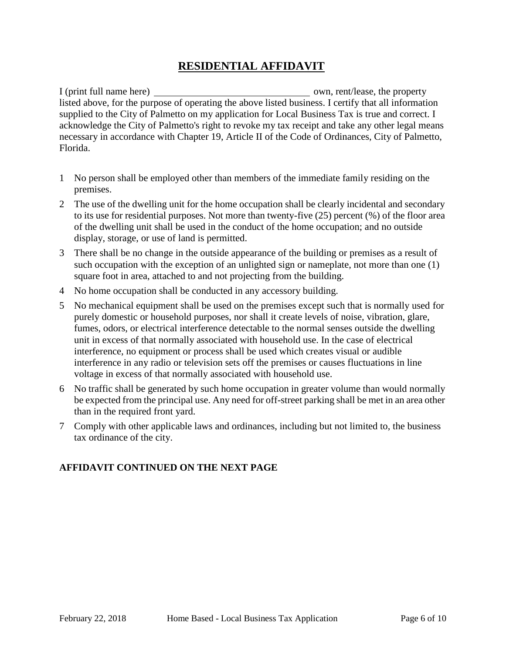## **RESIDENTIAL AFFIDAVIT**

I (print full name here) own, rent/lease, the property listed above, for the purpose of operating the above listed business. I certify that all information supplied to the City of Palmetto on my application for Local Business Tax is true and correct. I acknowledge the City of Palmetto's right to revoke my tax receipt and take any other legal means necessary in accordance with Chapter 19, Article II of the Code of Ordinances, City of Palmetto, Florida.

- 1 No person shall be employed other than members of the immediate family residing on the premises.
- 2 The use of the dwelling unit for the home occupation shall be clearly incidental and secondary to its use for residential purposes. Not more than twenty-five (25) percent (%) of the floor area of the dwelling unit shall be used in the conduct of the home occupation; and no outside display, storage, or use of land is permitted.
- 3 There shall be no change in the outside appearance of the building or premises as a result of such occupation with the exception of an unlighted sign or nameplate, not more than one (1) square foot in area, attached to and not projecting from the building.
- 4 No home occupation shall be conducted in any accessory building.
- 5 No mechanical equipment shall be used on the premises except such that is normally used for purely domestic or household purposes, nor shall it create levels of noise, vibration, glare, fumes, odors, or electrical interference detectable to the normal senses outside the dwelling unit in excess of that normally associated with household use. In the case of electrical interference, no equipment or process shall be used which creates visual or audible interference in any radio or television sets off the premises or causes fluctuations in line voltage in excess of that normally associated with household use.
- 6 No traffic shall be generated by such home occupation in greater volume than would normally be expected from the principal use. Any need for off-street parking shall be met in an area other than in the required front yard.
- 7 Comply with other applicable laws and ordinances, including but not limited to, the business tax ordinance of the city.

## **AFFIDAVIT CONTINUED ON THE NEXT PAGE**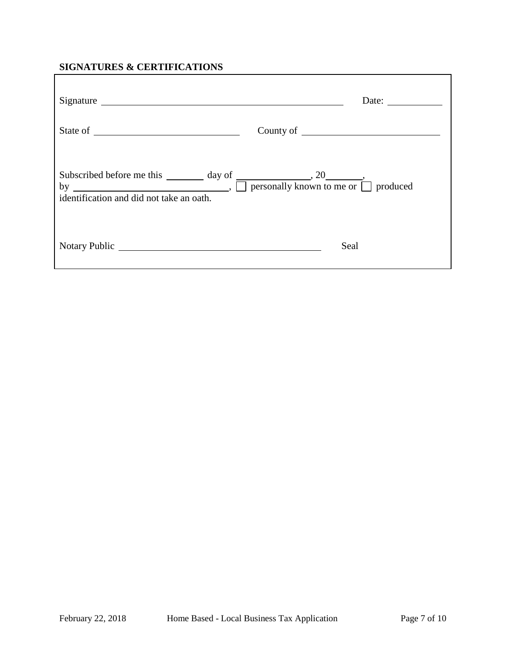## **SIGNATURES & CERTIFICATIONS**

|                                                                                                                                                                                                             | Date: $\qquad \qquad$ |
|-------------------------------------------------------------------------------------------------------------------------------------------------------------------------------------------------------------|-----------------------|
|                                                                                                                                                                                                             |                       |
| Subscribed before me this $\frac{day \text{ of}}{my}$ and $\frac{dy}{dy}$ , $\frac{20}{my}$ , $\frac{1}{my}$ personally known to me or $\frac{my}{my}$ produced<br>identification and did not take an oath. |                       |
|                                                                                                                                                                                                             | Seal                  |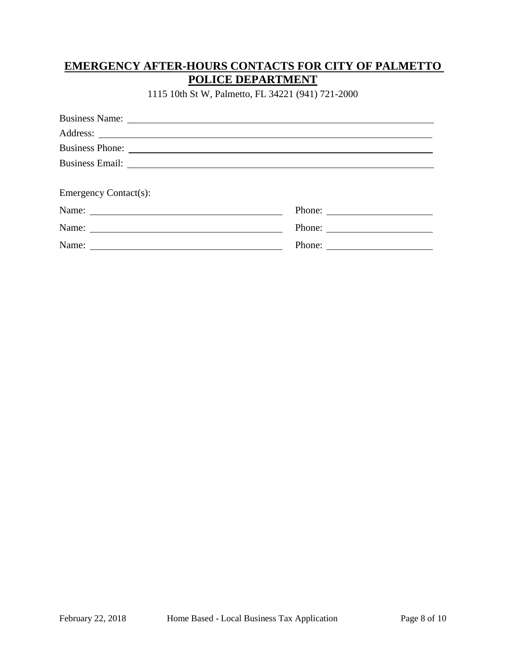# **EMERGENCY AFTER-HOURS CONTACTS FOR CITY OF PALMETTO POLICE DEPARTMENT**

1115 10th St W, Palmetto, FL 34221 (941) 721-2000

| Business Name: 2008. [2016] The Manuscript Contract of Manuscript Contract of Manuscript Contract Oriental Contract Oriental Contract Oriental Contract Oriental Contract Oriental Contract Oriental Contract Oriental Contrac |        |
|--------------------------------------------------------------------------------------------------------------------------------------------------------------------------------------------------------------------------------|--------|
|                                                                                                                                                                                                                                |        |
|                                                                                                                                                                                                                                |        |
|                                                                                                                                                                                                                                |        |
|                                                                                                                                                                                                                                |        |
| <b>Emergency Contact(s):</b>                                                                                                                                                                                                   |        |
|                                                                                                                                                                                                                                | Phone: |
|                                                                                                                                                                                                                                |        |
| Name: Name and the set of the set of the set of the set of the set of the set of the set of the set of the set of the set of the set of the set of the set of the set of the set of the set of the set of the set of the set o |        |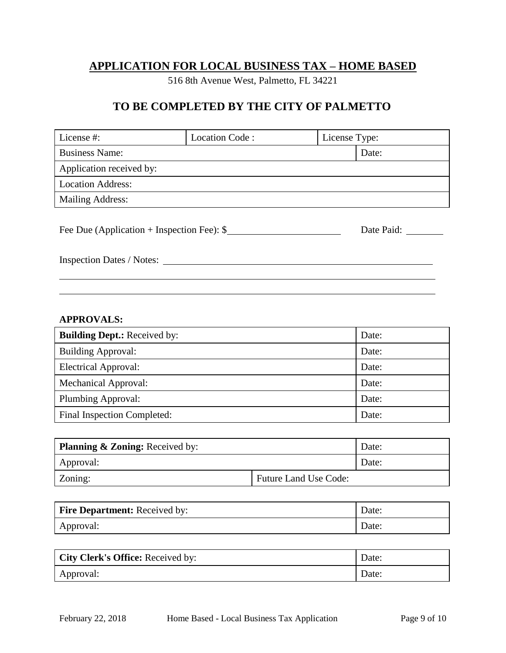# **APPLICATION FOR LOCAL BUSINESS TAX – HOME BASED**

516 8th Avenue West, Palmetto, FL 34221

## **TO BE COMPLETED BY THE CITY OF PALMETTO**

| Location Code:                                            |  |               |  |
|-----------------------------------------------------------|--|---------------|--|
| <b>Business Name:</b>                                     |  | Date:         |  |
| Application received by:                                  |  |               |  |
| <b>Location Address:</b>                                  |  |               |  |
| <b>Mailing Address:</b>                                   |  |               |  |
|                                                           |  |               |  |
| Fee Due (Application + Inspection Fee): $\$<br>Date Paid: |  |               |  |
|                                                           |  |               |  |
| Inspection Dates / Notes:                                 |  |               |  |
|                                                           |  |               |  |
|                                                           |  | License Type: |  |

### **APPROVALS:**

| <b>Building Dept.:</b> Received by: | Date: |
|-------------------------------------|-------|
| <b>Building Approval:</b>           | Date: |
| <b>Electrical Approval:</b>         | Date: |
| <b>Mechanical Approval:</b>         | Date: |
| Plumbing Approval:                  | Date: |
| Final Inspection Completed:         | Date: |

| <b>Planning &amp; Zoning:</b> Received by: |                              | Date: |
|--------------------------------------------|------------------------------|-------|
| Approval:                                  |                              | Date: |
| Zoning:                                    | <b>Future Land Use Code:</b> |       |

| <b>Fire Department:</b> Received by: | Date: |
|--------------------------------------|-------|
| Approval:                            | Date: |

| <b>City Clerk's Office:</b> Received by: | Date: |
|------------------------------------------|-------|
| Approval:                                | Date: |